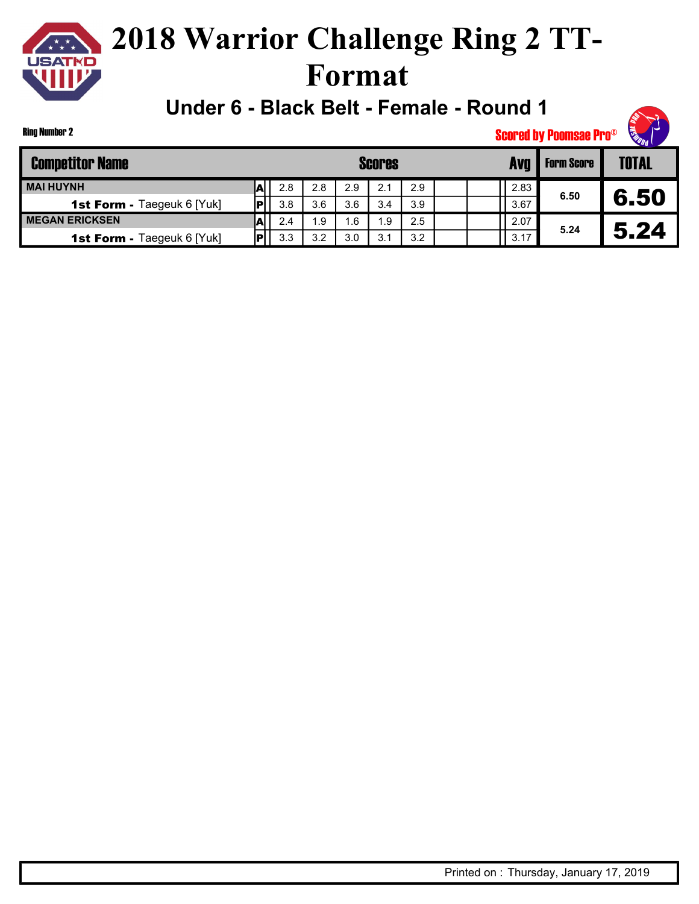

**Under 6 - Black Belt - Female - Round 1**



Ring Number 2

| <b>Competitor Name</b>            |             |     |     |     | <b>Scores</b> |     | Ava  | <b>Form Score</b> | <b>TOTAL</b> |
|-----------------------------------|-------------|-----|-----|-----|---------------|-----|------|-------------------|--------------|
| <b>MAI HUYNH</b>                  |             | 2.8 | 2.8 | 2.9 | 2.1           | 2.9 | 2.83 |                   |              |
| <b>1st Form - Taegeuk 6 [Yuk]</b> | P           | 3.8 | 3.6 | 3.6 | 3.4           | 3.9 | 3.67 | 6.50              | 6.50         |
| <b>MEGAN ERICKSEN</b>             |             | 2.4 | 1.9 | 6.، | 1.9           | 2.5 | 2.07 | 5.24              |              |
| <b>1st Form - Taegeuk 6 [Yuk]</b> | $ {\bf p} $ | 3.3 | 3.2 | 3.0 | 3.1           | 3.2 | 3.17 |                   | 5.24         |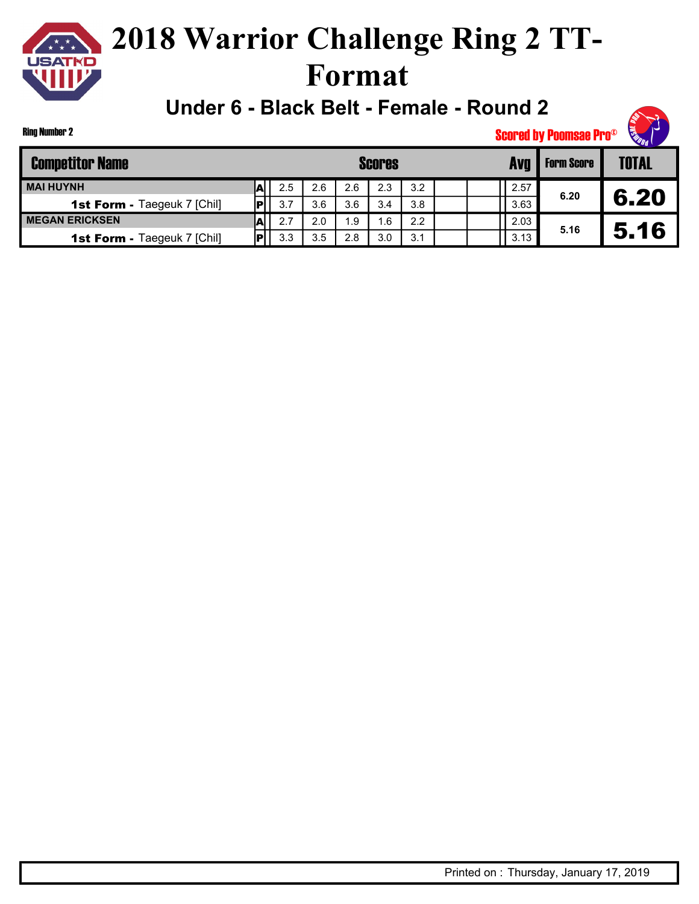

**Under 6 - Black Belt - Female - Round 2**



Ring Number 2

| <b>Competitor Name</b>             |     |     |     | <b>Scores</b> |     |  | Avg  | <b>Form Score</b> | <b>TOTAL</b> |
|------------------------------------|-----|-----|-----|---------------|-----|--|------|-------------------|--------------|
| <b>MAI HUYNH</b>                   | 2.5 | 2.6 | 2.6 | 2.3           | 3.2 |  | 2.57 | 6.20              |              |
| <b>1st Form - Taegeuk 7 [Chil]</b> | 3.7 | 3.6 | 3.6 | 3.4           | 3.8 |  | 3.63 |                   | 6.20         |
| <b>MEGAN ERICKSEN</b>              | 2.7 | 2.0 | . 9 | .6            | 2.2 |  | 2.03 | 5.16              |              |
| <b>1st Form - Taegeuk 7 [Chil]</b> | 3.3 | 3.5 | 2.8 | 3.0           | 3.1 |  | 3.13 |                   | 5.16         |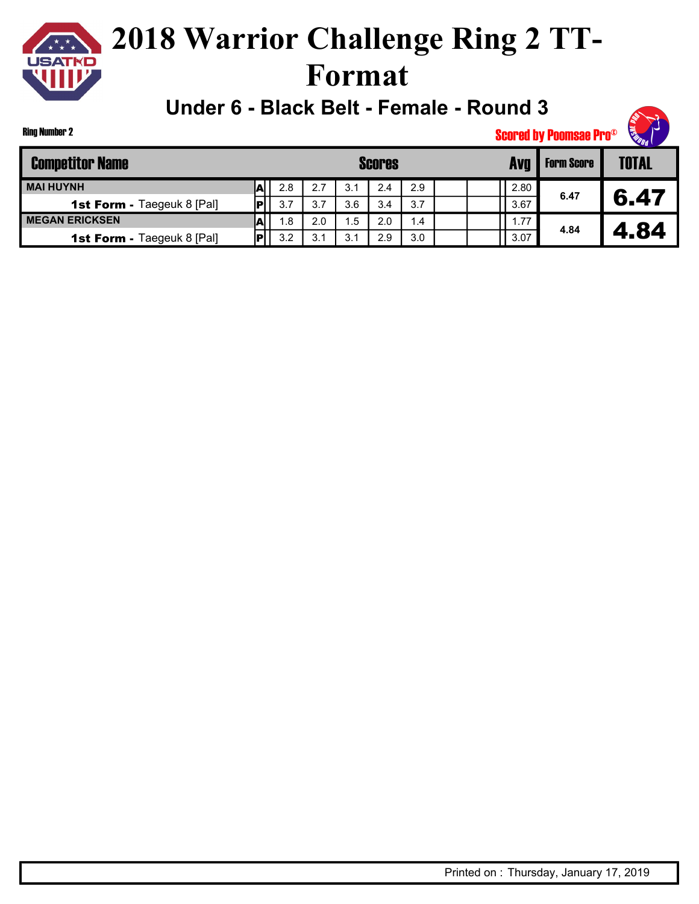

**Under 6 - Black Belt - Female - Round 3**



Ring Number 2

| <b>Competitor Name</b>            |     |     |     |     | <b>Scores</b> |     |  | Ava  | <b>Form Score</b> | <b>TOTAL</b> |
|-----------------------------------|-----|-----|-----|-----|---------------|-----|--|------|-------------------|--------------|
| <b>MAI HUYNH</b>                  | ЛI  | 2.8 | 2.7 | 3.1 | 2.4           | 2.9 |  | 2.80 |                   |              |
| <b>1st Form - Taegeuk 8 [Pal]</b> | IРI | 3.7 | 3.7 | 3.6 | 3.4           | 3.7 |  | 3.67 | 6.47              | 6.47         |
| <b>MEGAN ERICKSEN</b>             | A   | 1.8 | 2.0 | . 5 | 2.0           | 1.4 |  | .77. |                   |              |
| <b>1st Form - Taegeuk 8 [Pal]</b> |     | 3.2 | 3.1 | 3.1 | 2.9           | 3.0 |  | 3.07 | 4.84              | .84          |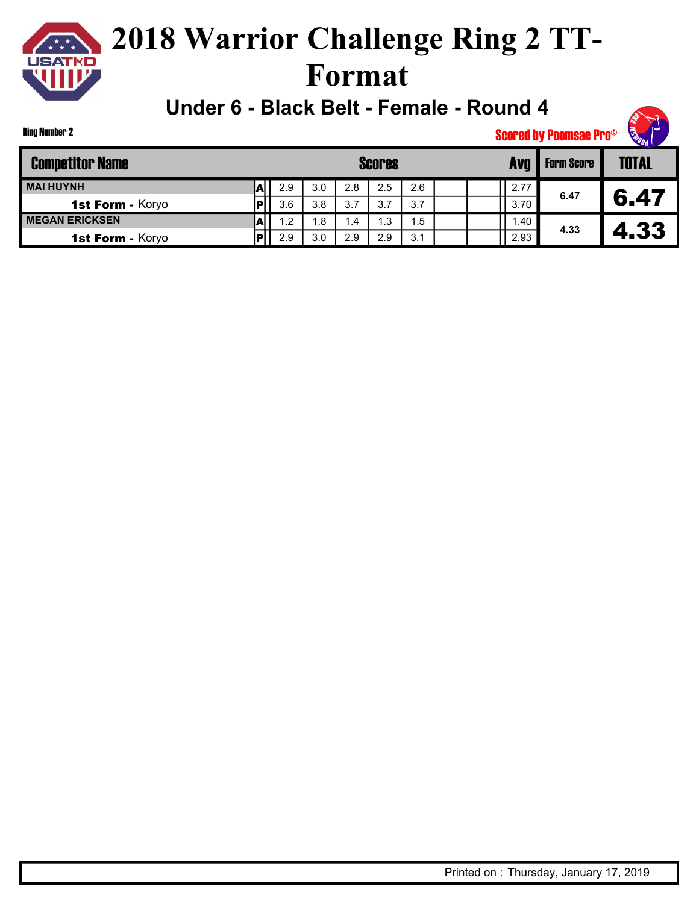

**Under 6 - Black Belt - Female - Round 4**

Ring Number 2

| <b>Competitor Name</b>  |   |     |     |      | <b>Scores</b> |     |  | Avo  | <b>Form Score</b> | <b>TOTAL</b> |
|-------------------------|---|-----|-----|------|---------------|-----|--|------|-------------------|--------------|
| <b>MAI HUYNH</b>        | м | 2.9 | 3.0 | 2.8  | 2.5           | 2.6 |  | 2.77 |                   |              |
| 1st Form - Koryo        |   | 3.6 | 3.8 | 3.7  | 3.7           | 3.7 |  | 3.70 | 6.47              | 6.47         |
| <b>I MEGAN ERICKSEN</b> | м | 1.2 | ∣.8 | l .4 | ∣.3           | 1.5 |  | .40  |                   |              |
| 1st Form - Koryo        |   | 2.9 | 3.0 | 2.9  | 2.9           | 3.1 |  | 2.93 | 4.33              | . 33         |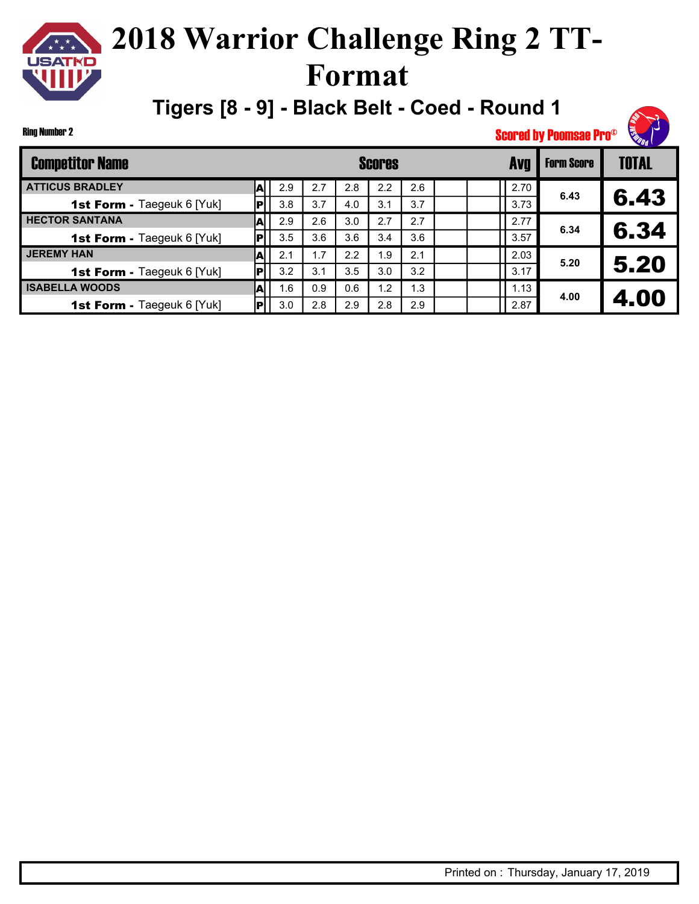## **2018 Warrior Challenge Ring 2 TT-Format**

**Tigers [8 - 9] - Black Belt - Coed - Round 1**

Ring Number 2

| <b>Competitor Name</b>            |    |     |     |     | <b>Scores</b> |     |  |      | <b>Form Score</b> | <b>TOTAL</b> |
|-----------------------------------|----|-----|-----|-----|---------------|-----|--|------|-------------------|--------------|
| <b>ATTICUS BRADLEY</b>            | A  | 2.9 | 2.7 | 2.8 | 2.2           | 2.6 |  | 2.70 | 6.43              |              |
| <b>1st Form - Taegeuk 6 [Yuk]</b> |    | 3.8 | 3.7 | 4.0 | 3.1           | 3.7 |  | 3.73 |                   | 6.43         |
| <b>HECTOR SANTANA</b>             | A  | 2.9 | 2.6 | 3.0 | 2.7           | 2.7 |  | 2.77 | 6.34              |              |
| 1st Form - Taegeuk 6 [Yuk]        |    | 3.5 | 3.6 | 3.6 | 3.4           | 3.6 |  | 3.57 |                   | 6.34         |
| <b>JEREMY HAN</b>                 | A  | 2.1 | 1.7 | 2.2 | 1.9           | 2.1 |  | 2.03 | 5.20              |              |
| <b>1st Form - Taegeuk 6 [Yuk]</b> |    | 3.2 | 3.1 | 3.5 | 3.0           | 3.2 |  | 3.17 |                   | 5.20         |
| <b>ISABELLA WOODS</b>             | Al | 1.6 | 0.9 | 0.6 | 1.2           | 1.3 |  | 1.13 | 4.00              |              |
| <b>1st Form - Taegeuk 6 [Yuk]</b> |    | 3.0 | 2.8 | 2.9 | 2.8           | 2.9 |  | 2.87 |                   | 4.00         |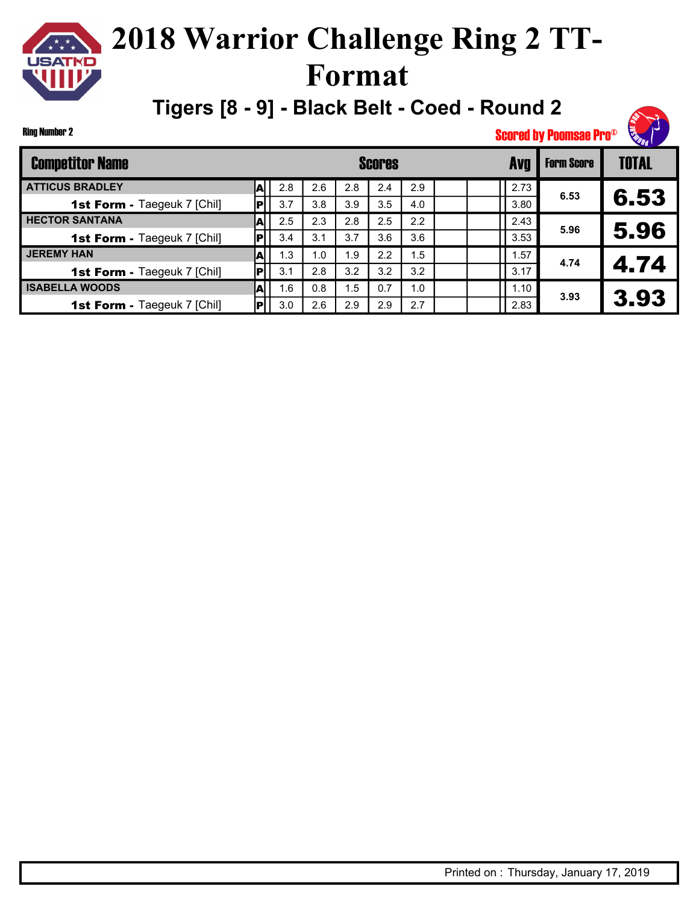## **2018 Warrior Challenge Ring 2 TT-Format**

**Tigers [8 - 9] - Black Belt - Coed - Round 2**

Ring Number 2

| <b>Competitor Name</b>             |   |     |     |     | <b>Scores</b> |     |  | <b>AVT</b> | <b>Form Score</b> | <b>TOTAL</b> |
|------------------------------------|---|-----|-----|-----|---------------|-----|--|------------|-------------------|--------------|
| <b>ATTICUS BRADLEY</b>             | А | 2.8 | 2.6 | 2.8 | 2.4           | 2.9 |  | 2.73       |                   |              |
| <b>1st Form - Taegeuk 7 [Chil]</b> |   | 3.7 | 3.8 | 3.9 | 3.5           | 4.0 |  | 3.80       | 6.53              | 6.53         |
| <b>HECTOR SANTANA</b>              | А | 2.5 | 2.3 | 2.8 | 2.5           | 2.2 |  | 2.43       |                   |              |
| <b>1st Form - Taegeuk 7 [Chil]</b> |   | 3.4 | 3.1 | 3.7 | 3.6           | 3.6 |  | 3.53       | 5.96              | 5.96         |
| <b>JEREMY HAN</b>                  |   | 1.3 | 1.0 | 1.9 | 2.2           | 1.5 |  | .57        | 4.74              |              |
| <b>1st Form - Taegeuk 7 [Chil]</b> |   | 3.1 | 2.8 | 3.2 | 3.2           | 3.2 |  | 3.17       |                   | 4.74         |
| <b>ISABELLA WOODS</b>              |   | 1.6 | 0.8 | 1.5 | 0.7           | 1.0 |  | 1.10       | 3.93              |              |
| 1st Form - Taegeuk 7 [Chil]        |   | 3.0 | 2.6 | 2.9 | 2.9           | 2.7 |  | 2.83       |                   | 3.93         |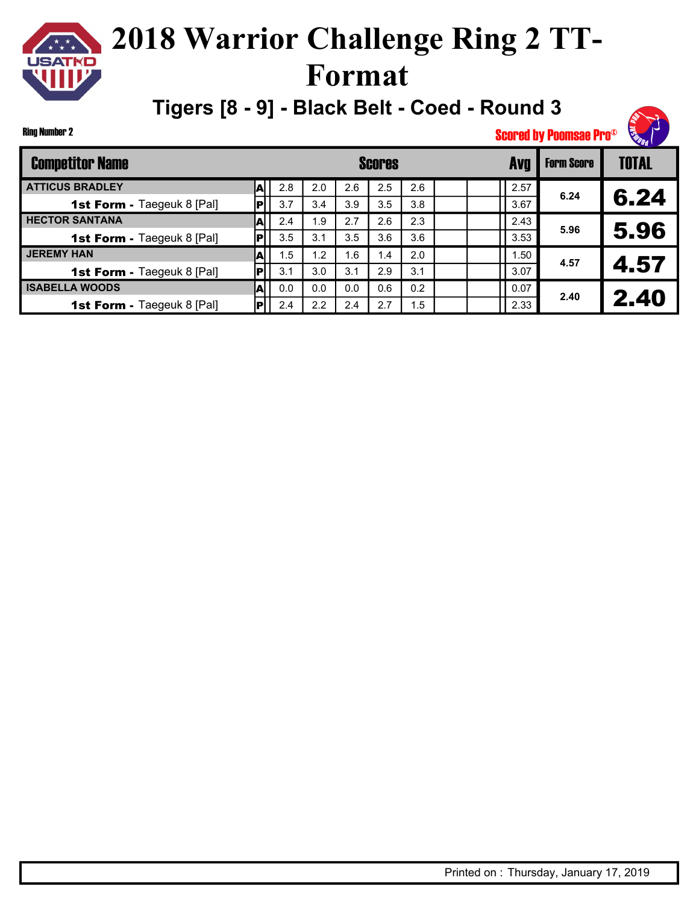## **2018 Warrior Challenge Ring 2 TT-Format**

**Tigers [8 - 9] - Black Belt - Coed - Round 3**

Ring Number 2

| <b>Competitor Name</b>            |    |     |     |     | <b>Scores</b> |     |  | <b>Avg</b> | <b>Form Score</b> | <b>TOTAL</b> |
|-----------------------------------|----|-----|-----|-----|---------------|-----|--|------------|-------------------|--------------|
| <b>ATTICUS BRADLEY</b>            | т  | 2.8 | 2.0 | 2.6 | 2.5           | 2.6 |  | 2.57       | 6.24              |              |
| <b>1st Form - Taegeuk 8 [Pal]</b> |    | 3.7 | 3.4 | 3.9 | 3.5           | 3.8 |  | 3.67       |                   | 6.24         |
| <b>HECTOR SANTANA</b>             | A  | 2.4 | 1.9 | 2.7 | 2.6           | 2.3 |  | 2.43       | 5.96              |              |
| <b>1st Form - Taegeuk 8 [Pal]</b> |    | 3.5 | 3.1 | 3.5 | 3.6           | 3.6 |  | 3.53       |                   | 5.96         |
| <b>JEREMY HAN</b>                 | A  | 1.5 | 1.2 | 1.6 | 1.4           | 2.0 |  | .50        | 4.57              |              |
| <b>1st Form - Taegeuk 8 [Pal]</b> |    | 3.1 | 3.0 | 3.1 | 2.9           | 3.1 |  | 3.07       |                   | 4.57         |
| <b>ISABELLA WOODS</b>             | Al | 0.0 | 0.0 | 0.0 | 0.6           | 0.2 |  | 0.07       | 2.40              |              |
| <b>1st Form - Taegeuk 8 [Pal]</b> |    | 2.4 | 2.2 | 2.4 | 2.7           | 1.5 |  | 2.33       |                   | 2.40         |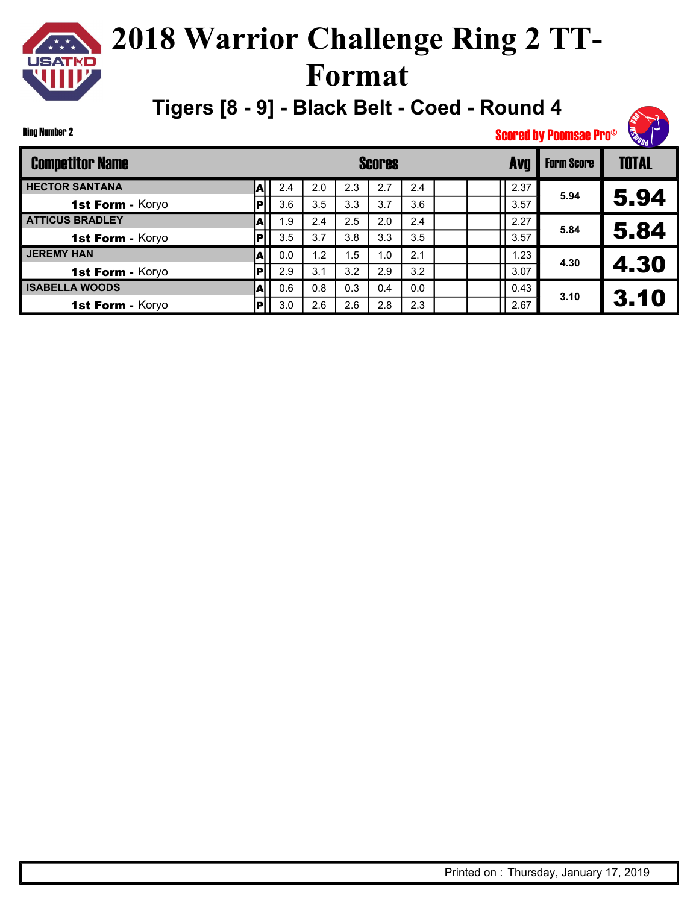## **2018 Warrior Challenge Ring 2 TT-Format**

**Tigers [8 - 9] - Black Belt - Coed - Round 4**

#### Ring Number 2

| <b>Competitor Name</b> |   |     |     |     | <b>Scores</b> |     |  |      | <b>Form Score</b> | <b>TOTAL</b> |
|------------------------|---|-----|-----|-----|---------------|-----|--|------|-------------------|--------------|
| <b>HECTOR SANTANA</b>  | A | 2.4 | 2.0 | 2.3 | 2.7           | 2.4 |  | 2.37 |                   |              |
| 1st Form - Koryo       |   | 3.6 | 3.5 | 3.3 | 3.7           | 3.6 |  | 3.57 | 5.94              | 5.94         |
| <b>ATTICUS BRADLEY</b> | A | 1.9 | 2.4 | 2.5 | 2.0           | 2.4 |  | 2.27 | 5.84              |              |
| 1st Form - Koryo       |   | 3.5 | 3.7 | 3.8 | 3.3           | 3.5 |  | 3.57 |                   | 5.84         |
| <b>JEREMY HAN</b>      |   | 0.0 | 1.2 | 1.5 | 1.0           | 2.1 |  | 1.23 | 4.30              |              |
| 1st Form - Koryo       |   | 2.9 | 3.1 | 3.2 | 2.9           | 3.2 |  | 3.07 |                   | 4.30         |
| <b>ISABELLA WOODS</b>  | и | 0.6 | 0.8 | 0.3 | 0.4           | 0.0 |  | 0.43 | 3.10              |              |
| 1st Form - Koryo       |   | 3.0 | 2.6 | 2.6 | 2.8           | 2.3 |  | 2.67 |                   | 3.10         |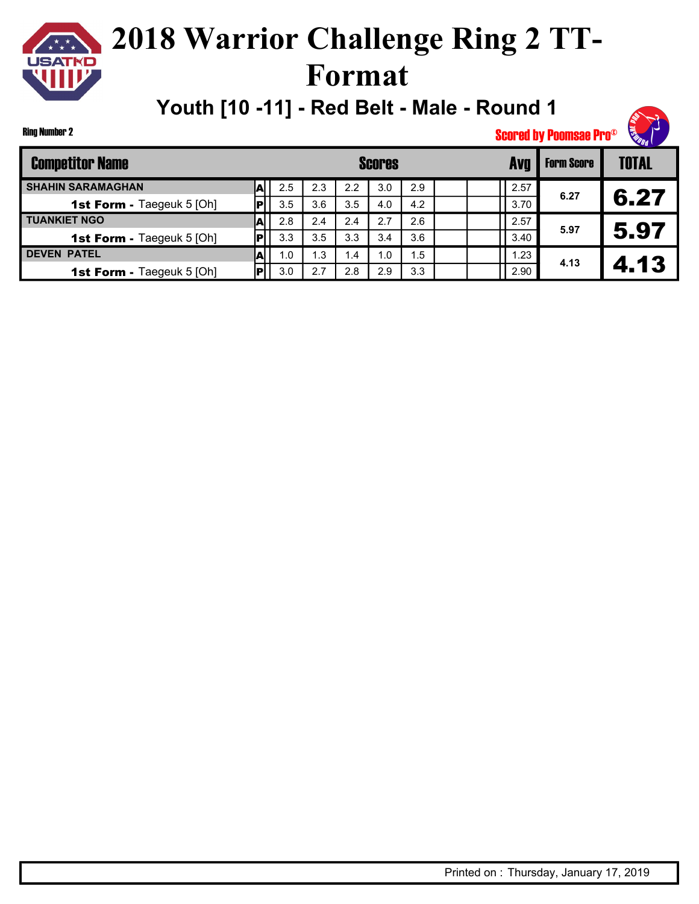

**Youth [10 -11] - Red Belt - Male - Round 1**

Ring Number 2

| <b>Competitor Name</b>           |   |     |      |                 | Scores |     |  |      | <b>Form Score</b> | <b>TOTAL</b> |
|----------------------------------|---|-----|------|-----------------|--------|-----|--|------|-------------------|--------------|
| <b>SHAHIN SARAMAGHAN</b>         | A | 2.5 | 2.3  | 2.2             | 3.0    | 2.9 |  | 2.57 | 6.27              |              |
| <b>1st Form - Taegeuk 5 [Oh]</b> |   | 3.5 | 3.6  | 3.5             | 4.0    | 4.2 |  | 3.70 |                   | 6.27         |
| <b>TUANKIET NGO</b>              | м | 2.8 | 2.4  | 2.4             | 2.7    | 2.6 |  | 2.57 | 5.97              |              |
| <b>1st Form - Taegeuk 5 [Oh]</b> |   | 3.3 | 3.5  | 3.3             | 3.4    | 3.6 |  | 3.40 |                   | 5.97         |
| <b>DEVEN PATEL</b>               |   | 1.0 | l .3 | $\overline{.4}$ | 1.0    | 1.5 |  | 1.23 | 4.13              |              |
| <b>1st Form - Taegeuk 5 [Oh]</b> |   | 3.0 | 2.7  | 2.8             | 2.9    | 3.3 |  | 2.90 |                   | 4.13         |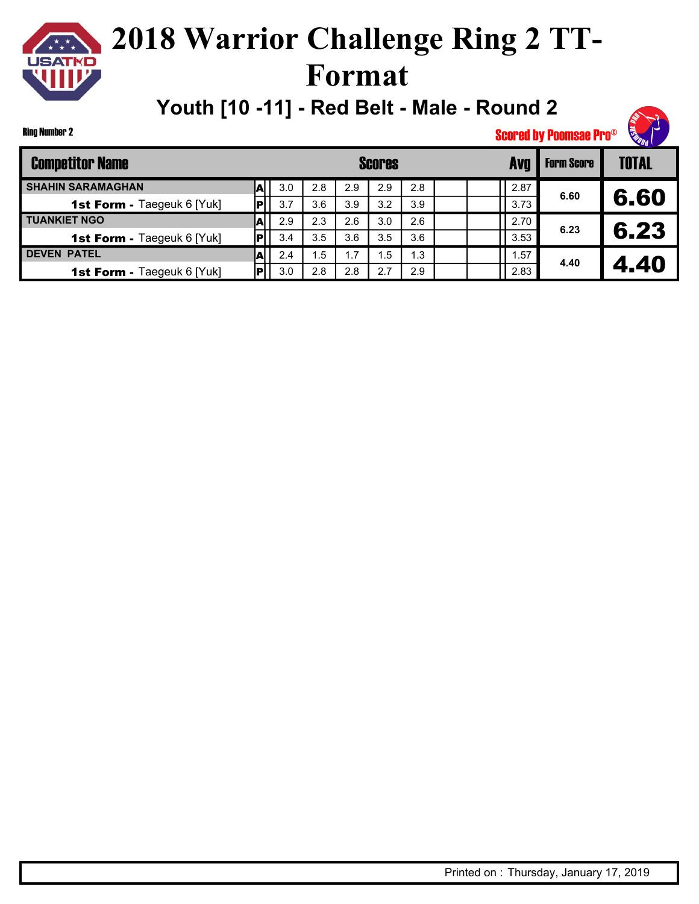

**Youth [10 -11] - Red Belt - Male - Round 2**

Ring Number 2

| <b>Competitor Name</b>            |     |     |     |     | <b>Scores</b> |     |      | <b>Form Score</b> | <b>TOTAL</b> |
|-----------------------------------|-----|-----|-----|-----|---------------|-----|------|-------------------|--------------|
| <b>SHAHIN SARAMAGHAN</b>          |     | 3.0 | 2.8 | 2.9 | 2.9           | 2.8 | 2.87 |                   |              |
| 1st Form - Taegeuk 6 [Yuk]        |     | 3.7 | 3.6 | 3.9 | 3.2           | 3.9 | 3.73 | 6.60              | 6.60         |
| <b>TUANKIET NGO</b>               | m   | 2.9 | 2.3 | 2.6 | 3.0           | 2.6 | 2.70 | 6.23              |              |
| <b>1st Form - Taegeuk 6 [Yuk]</b> |     | 3.4 | 3.5 | 3.6 | 3.5           | 3.6 | 3.53 |                   | 6.23         |
| <b>DEVEN PATEL</b>                | .A∣ | 2.4 | . 5 | 1.7 | 1.5           | 1.3 | 1.57 | 4.40              |              |
| <b>1st Form - Taegeuk 6 [Yuk]</b> |     | 3.0 | 2.8 | 2.8 | 2.7           | 2.9 | 2.83 |                   | 4.40         |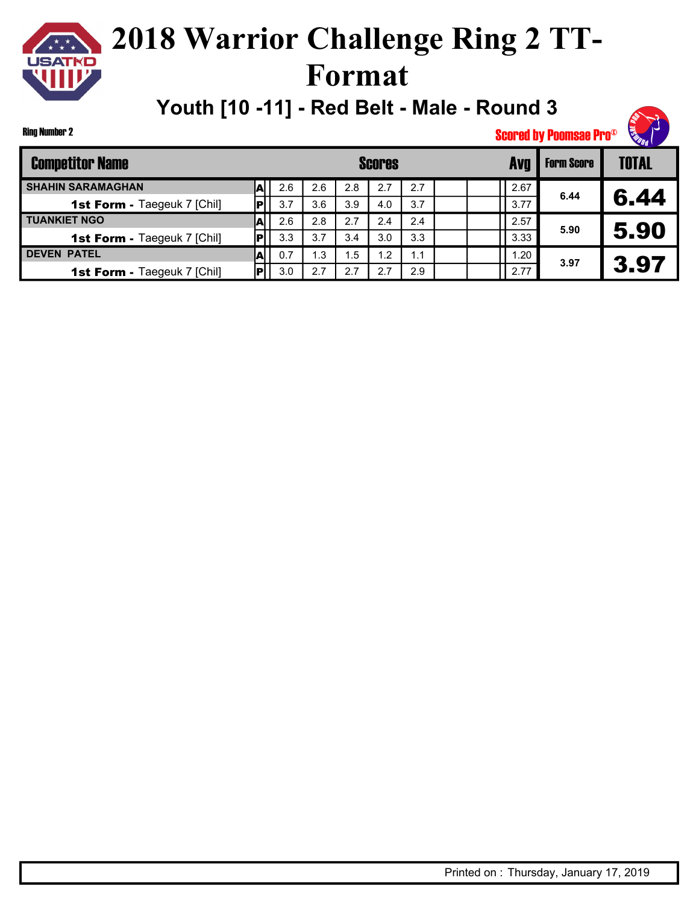

Ring Number 2

## **2018 Warrior Challenge Ring 2 TT-Format**

**Youth [10 -11] - Red Belt - Male - Round 3**



| <b>Competitor Name</b>             |     |     |     |     | <b>Scores</b> |     |      |              | <b>Form Score</b> | <b>TOTAL</b> |
|------------------------------------|-----|-----|-----|-----|---------------|-----|------|--------------|-------------------|--------------|
| <b>SHAHIN SARAMAGHAN</b>           | AI  | 2.6 | 2.6 | 2.8 | 2.7           | 2.7 | 2.67 |              | 6.44              |              |
| <b>1st Form - Taegeuk 7 [Chil]</b> |     | 3.7 | 3.6 | 3.9 | 4.0           | 3.7 | 3.77 |              |                   | 6.44         |
| <b>TUANKIET NGO</b>                | м   | 2.6 | 2.8 | 2.7 | 2.4           | 2.4 | 2.57 |              | 5.90              |              |
| <b>1st Form - Taegeuk 7 [Chil]</b> |     | 3.3 | 3.7 | 3.4 | 3.0           | 3.3 | 3.33 |              |                   | 5.90         |
| <b>DEVEN PATEL</b>                 | .AI | 0.7 | . 3 | 1.5 | 1.2           | 1.1 | 1.20 |              |                   |              |
| <b>1st Form - Taegeuk 7 [Chil]</b> |     | 3.0 | 2.7 | 2.7 | 2.7           | 2.9 |      | 3.97<br>2.77 |                   | 3.97         |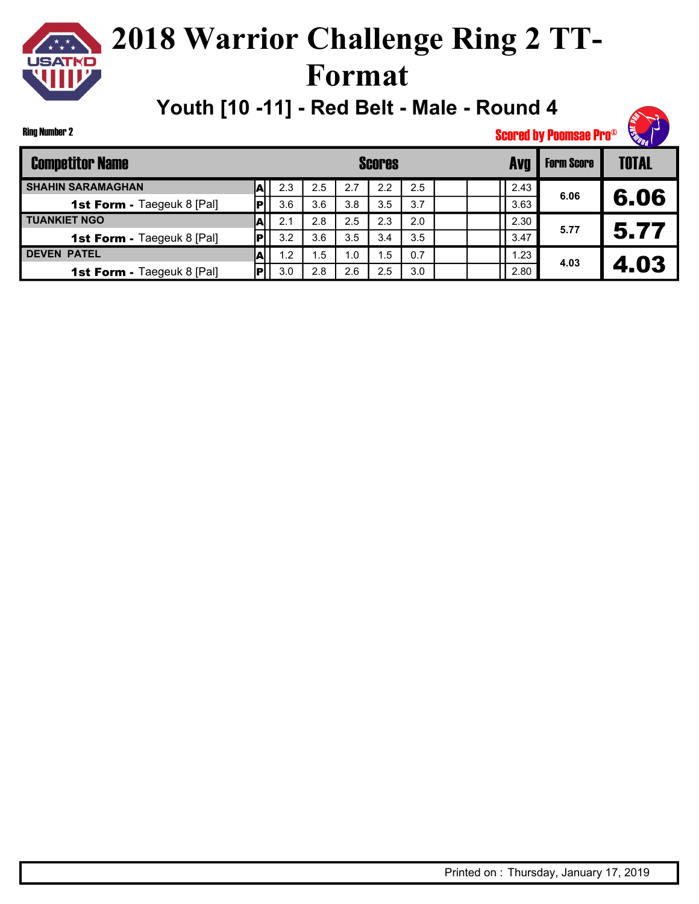

**Youth [10 -11] - Red Belt - Male - Round 4**



Ring Number 2

| <b>Competitor Name</b>            |   |     |     |     | <b>Scores</b> |     |      | <b>Form Score</b> | <b>TOTAL</b> |
|-----------------------------------|---|-----|-----|-----|---------------|-----|------|-------------------|--------------|
| <b>SHAHIN SARAMAGHAN</b>          | A | 2.3 | 2.5 | 2.7 | 2.2           | 2.5 | 2.43 |                   |              |
| <b>1st Form - Taegeuk 8 [Pal]</b> |   | 3.6 | 3.6 | 3.8 | 3.5           | 3.7 | 3.63 | 6.06              | 6.06         |
| <b>TUANKIET NGO</b>               | A | 2.1 | 2.8 | 2.5 | 2.3           | 2.0 | 2.30 | 5.77              |              |
| <b>1st Form - Taegeuk 8 [Pal]</b> |   | 3.2 | 3.6 | 3.5 | 3.4           | 3.5 | 3.47 |                   | 5.77         |
| <b>DEVEN PATEL</b>                | A | 1.2 | .5  | 1.0 | .5            | 0.7 | 1.23 | 4.03              |              |
| <b>1st Form - Taegeuk 8 [Pal]</b> |   | 3.0 | 2.8 | 2.6 | 2.5           | 3.0 | 2.80 |                   | 4.03         |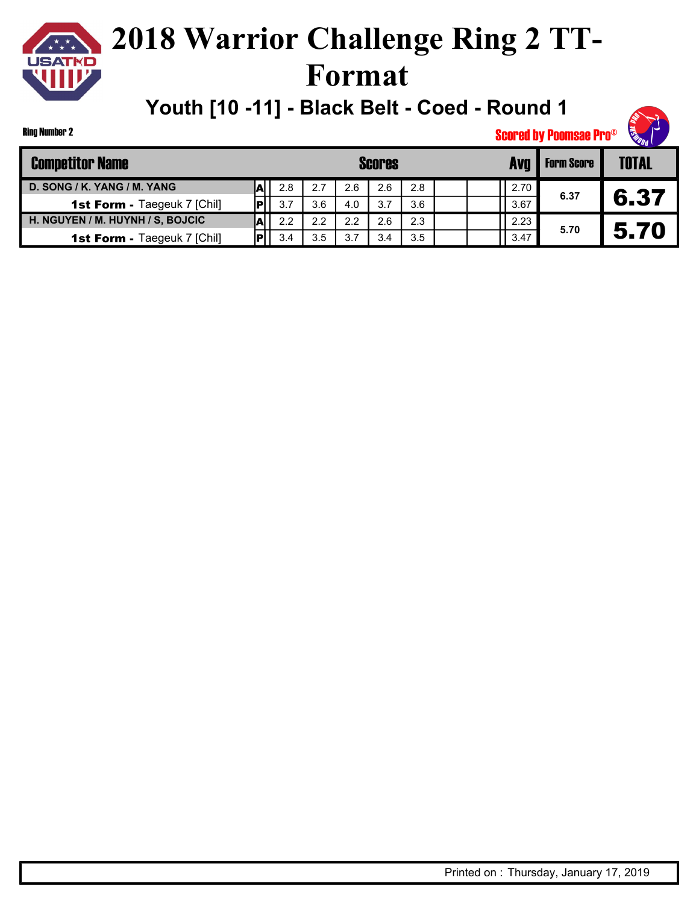

Ring Number 2

## **2018 Warrior Challenge Ring 2 TT-Format**

**Youth [10 -11] - Black Belt - Coed - Round 1**



| <b>Competitor Name</b>             |     |     | <b>Scores</b> | <b>Form Score</b> | <b>TOTAL</b> |      |      |      |
|------------------------------------|-----|-----|---------------|-------------------|--------------|------|------|------|
| D. SONG / K. YANG / M. YANG        | 2.8 | 2.7 | 2.6           | 2.6               | 2.8          | 2.70 |      |      |
| <b>1st Form - Taegeuk 7 [Chil]</b> | 3.7 | 3.6 | 4.0           | 3.7               | 3.6          | 3.67 | 6.37 | 6.37 |
| H. NGUYEN / M. HUYNH / S, BOJCIC   | 2.2 | 2.2 | 2.2           | 2.6               | 2.3          | 2.23 |      |      |
| <b>1st Form - Taegeuk 7 [Chil]</b> | 3.4 | 3.5 | 3.7           | 3.4               | 3.5          | 3.47 | 5.70 | 5.70 |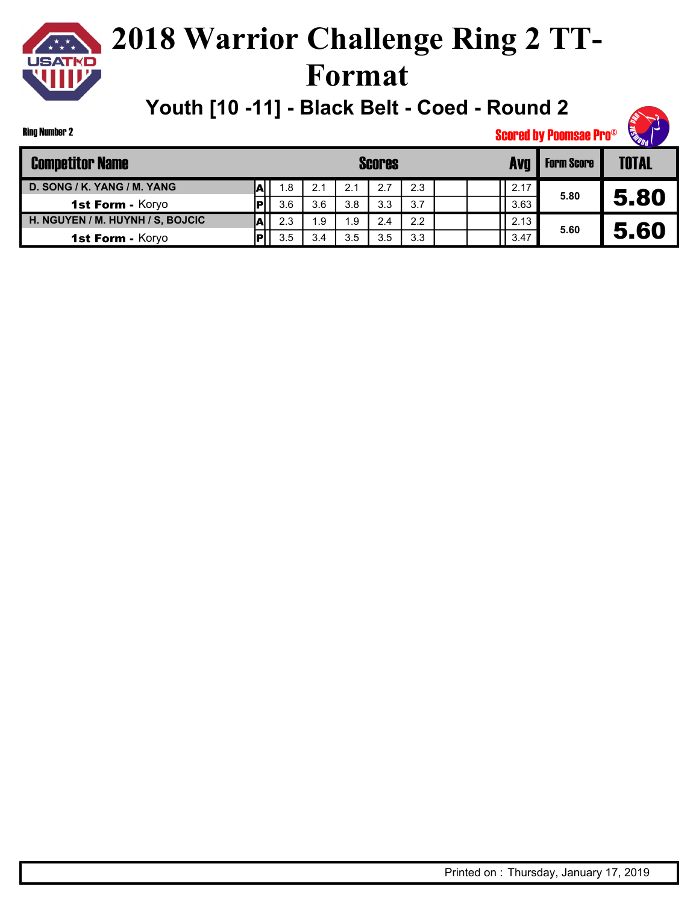

Ring Number 2

## **2018 Warrior Challenge Ring 2 TT-Format**

**Youth [10 -11] - Black Belt - Coed - Round 2**



| <b>Competitor Name</b>           |     |      | <b>Scores</b> | <b>Form Score</b> | <b>TOTAL</b> |      |      |      |
|----------------------------------|-----|------|---------------|-------------------|--------------|------|------|------|
| D. SONG / K. YANG / M. YANG      | 1.8 | 2.1  | 2.1           | 2.7               | 2.3          | 2.17 |      |      |
| 1st Form - Koryo                 | 3.6 | 3.6  | 3.8           | 3.3               | 3.7          | 3.63 | 5.80 | 5.80 |
| H. NGUYEN / M. HUYNH / S, BOJCIC | 2.3 | 9. ا | 1.9           | 2.4               | 2.2          | 2.13 | 5.60 |      |
| 1st Form - Koryo                 | 3.5 | 3.4  | 3.5           | 3.5               | 3.3          | 3.47 |      | 5.60 |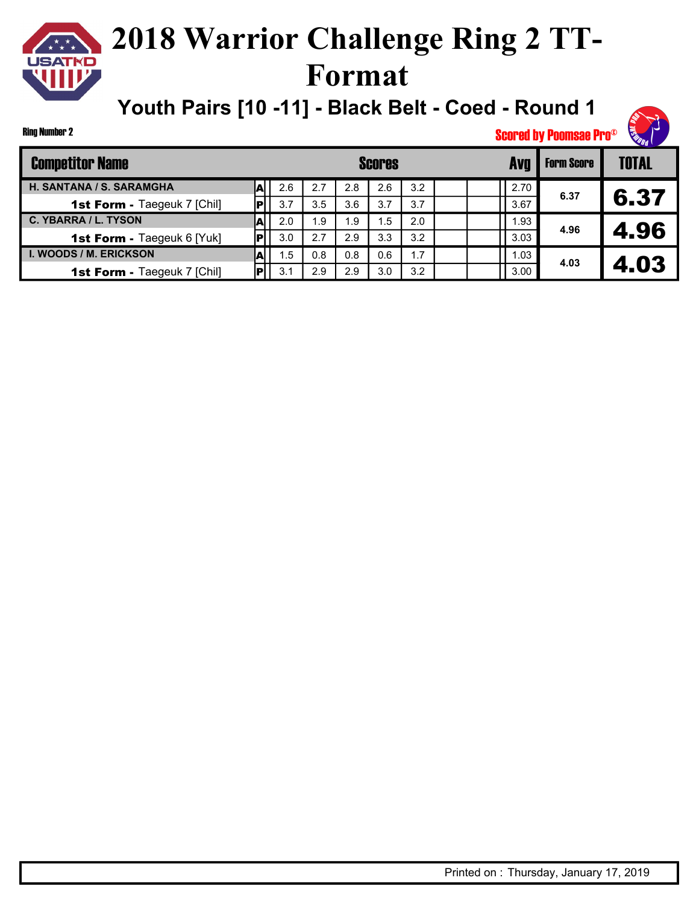

**Youth Pairs [10 -11] - Black Belt - Coed - Round 1**



| <b>Competitor Name</b>             |   | <b>Scores</b> |      |     |     |     |  |  | <b>Form Score</b> | <b>TOTAL</b> |      |
|------------------------------------|---|---------------|------|-----|-----|-----|--|--|-------------------|--------------|------|
| H. SANTANA / S. SARAMGHA           |   | 2.6           | 2.7  | 2.8 | 2.6 | 3.2 |  |  | 2.70              |              |      |
| <b>1st Form - Taegeuk 7 [Chil]</b> |   | 3.7           | 3.5  | 3.6 | 3.7 | 3.7 |  |  | 3.67              | 6.37         | 6.37 |
| C. YBARRA / L. TYSON               | A | 2.0           | 9. ا | 1.9 | ∣.5 | 2.0 |  |  | 1.93              |              |      |
| <b>1st Form - Taegeuk 6 [Yuk]</b>  |   | 3.0           | 2.7  | 2.9 | 3.3 | 3.2 |  |  | 3.03              | 4.96         | 4.96 |
| I. WOODS / M. ERICKSON             |   | 1.5           | 0.8  | 0.8 | 0.6 | 1.7 |  |  | 1.03              |              |      |
| <b>1st Form - Taegeuk 7 [Chil]</b> |   | 3.1           | 2.9  | 2.9 | 3.0 | 3.2 |  |  | 3.00              | 4.03         | 4.03 |